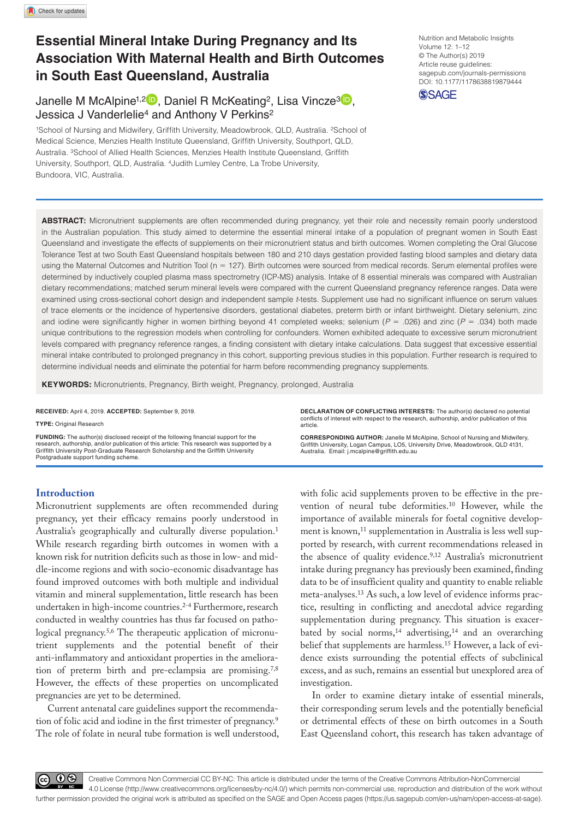# **Essential Mineral Intake During Pregnancy and Its Association With Maternal Health and Birth Outcomes in South East Queensland, Australia**

Janelle M McAlpine<sup>1,2</sup><sup>D</sup>, Daniel R McKeating<sup>2</sup>, Lisa Vincze<sup>3</sup><sup>D</sup>, Jessica J Vanderlelie<sup>4</sup> and Anthony V Perkins<sup>2</sup>

1School of Nursing and Midwifery, Griffith University, Meadowbrook, QLD, Australia. <sup>2</sup>School of Medical Science, Menzies Health Institute Queensland, Griffith University, Southport, QLD, Australia. 3School of Allied Health Sciences, Menzies Health Institute Queensland, Griffith University, Southport, QLD, Australia. 4Judith Lumley Centre, La Trobe University, Bundoora, VIC, Australia.

DOI: 10.1177/1178638819879444 Nutrition and Metabolic Insights Volume 12: 1–12 © The Author(s) 2019 Article reuse guidelines: [sagepub.com/journals-permissions](https://uk.sagepub.com/en-gb/journals-permissions)



**ABSTRACT:** Micronutrient supplements are often recommended during pregnancy, yet their role and necessity remain poorly understood in the Australian population. This study aimed to determine the essential mineral intake of a population of pregnant women in South East Queensland and investigate the effects of supplements on their micronutrient status and birth outcomes. Women completing the Oral Glucose Tolerance Test at two South East Queensland hospitals between 180 and 210 days gestation provided fasting blood samples and dietary data using the Maternal Outcomes and Nutrition Tool (n = 127). Birth outcomes were sourced from medical records. Serum elemental profiles were determined by inductively coupled plasma mass spectrometry (ICP-MS) analysis. Intake of 8 essential minerals was compared with Australian dietary recommendations; matched serum mineral levels were compared with the current Queensland pregnancy reference ranges. Data were examined using cross-sectional cohort design and independent sample *t*-tests. Supplement use had no significant influence on serum values of trace elements or the incidence of hypertensive disorders, gestational diabetes, preterm birth or infant birthweight. Dietary selenium, zinc and iodine were significantly higher in women birthing beyond 41 completed weeks; selenium (*P* = .026) and zinc (*P* = .034) both made unique contributions to the regression models when controlling for confounders. Women exhibited adequate to excessive serum micronutrient levels compared with pregnancy reference ranges, a finding consistent with dietary intake calculations. Data suggest that excessive essential mineral intake contributed to prolonged pregnancy in this cohort, supporting previous studies in this population. Further research is required to determine individual needs and eliminate the potential for harm before recommending pregnancy supplements.

**Keywords:** Micronutrients, Pregnancy, Birth weight, Pregnancy, prolonged, Australia

**RECEIVED:** April 4, 2019. **ACCEPTED:** September 9, 2019.

**Type:** Original Research

**FUNDING:** The author(s) disclosed receipt of the following financial support for the research, authorship, and/or publication of this article: This research was supported by a Griffith University Post-Graduate Research Scholarship and the Griffith University Postgraduate support funding scheme.

**DECLARATION OF CONFLICTING INTERESTS:** The author(s) declared no potential conflicts of interest with respect to the research, authorship, and/or publication of this article.

**CORRESPONDING AUTHOR:** Janelle M McAlpine, School of Nursing and Midwifery, Griffith University, Logan Campus, LO5, University Drive, Meadowbrook, QLD 4131, Australia. Email: [j.mcalpine@griffith.edu.au](mailto:j.mcalpine@griffith.edu.au)

# **Introduction**

Micronutrient supplements are often recommended during pregnancy, yet their efficacy remains poorly understood in Australia's geographically and culturally diverse population.<sup>1</sup> While research regarding birth outcomes in women with a known risk for nutrition deficits such as those in low- and middle-income regions and with socio-economic disadvantage has found improved outcomes with both multiple and individual vitamin and mineral supplementation, little research has been undertaken in high-income countries.<sup>2-4</sup> Furthermore, research conducted in wealthy countries has thus far focused on pathological pregnancy.5,6 The therapeutic application of micronutrient supplements and the potential benefit of their anti-inflammatory and antioxidant properties in the amelioration of preterm birth and pre-eclampsia are promising.7,8 However, the effects of these properties on uncomplicated pregnancies are yet to be determined.

Current antenatal care guidelines support the recommendation of folic acid and iodine in the first trimester of pregnancy.9 The role of folate in neural tube formation is well understood, with folic acid supplements proven to be effective in the prevention of neural tube deformities.10 However, while the importance of available minerals for foetal cognitive development is known,<sup>11</sup> supplementation in Australia is less well supported by research, with current recommendations released in the absence of quality evidence.<sup>9,12</sup> Australia's micronutrient intake during pregnancy has previously been examined, finding data to be of insufficient quality and quantity to enable reliable meta-analyses.13 As such, a low level of evidence informs practice, resulting in conflicting and anecdotal advice regarding supplementation during pregnancy. This situation is exacerbated by social norms,<sup>14</sup> advertising,<sup>14</sup> and an overarching belief that supplements are harmless.15 However, a lack of evidence exists surrounding the potential effects of subclinical excess, and as such, remains an essential but unexplored area of investigation.

In order to examine dietary intake of essential minerals, their corresponding serum levels and the potentially beneficial or detrimental effects of these on birth outcomes in a South East Queensland cohort, this research has taken advantage of

60 Q

Creative Commons Non Commercial CC BY-NC: This article is distributed under the terms of the Creative Commons Attribution-NonCommercial 4.0 License (http://www.creativecommons.org/licenses/by-nc/4.0/) which permits non-commercial use, reproduction and distribution of the work without further permission provided the original work is attributed as specified on the SAGE and Open Access pages (https://us.sagepub.com/en-us/nam/open-access-at-sage).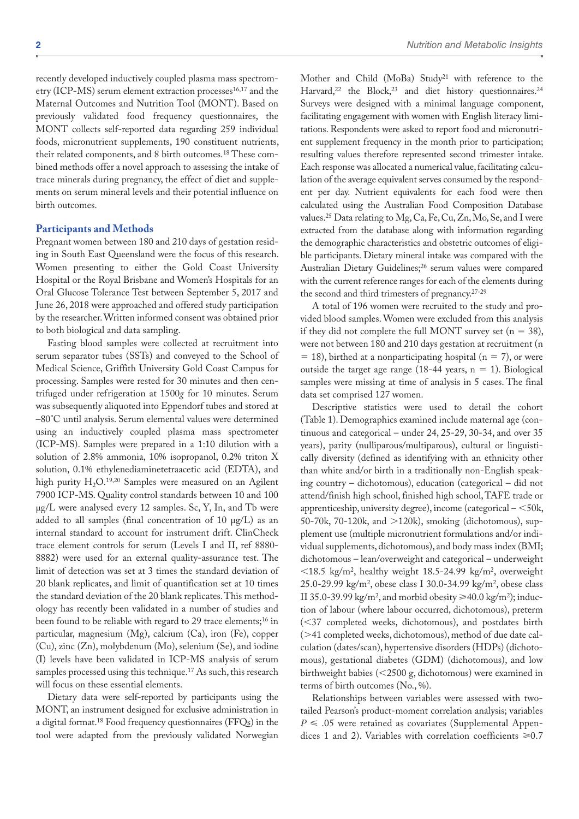recently developed inductively coupled plasma mass spectrometry (ICP-MS) serum element extraction processes<sup>16,17</sup> and the Maternal Outcomes and Nutrition Tool (MONT). Based on previously validated food frequency questionnaires, the MONT collects self-reported data regarding 259 individual foods, micronutrient supplements, 190 constituent nutrients, their related components, and 8 birth outcomes.18 These combined methods offer a novel approach to assessing the intake of trace minerals during pregnancy, the effect of diet and supplements on serum mineral levels and their potential influence on birth outcomes.

## **Participants and Methods**

Pregnant women between 180 and 210 days of gestation residing in South East Queensland were the focus of this research. Women presenting to either the Gold Coast University Hospital or the Royal Brisbane and Women's Hospitals for an Oral Glucose Tolerance Test between September 5, 2017 and June 26, 2018 were approached and offered study participation by the researcher. Written informed consent was obtained prior to both biological and data sampling.

Fasting blood samples were collected at recruitment into serum separator tubes (SSTs) and conveyed to the School of Medical Science, Griffith University Gold Coast Campus for processing. Samples were rested for 30 minutes and then centrifuged under refrigeration at 1500*g* for 10 minutes. Serum was subsequently aliquoted into Eppendorf tubes and stored at –80°C until analysis. Serum elemental values were determined using an inductively coupled plasma mass spectrometer (ICP-MS). Samples were prepared in a 1:10 dilution with a solution of 2.8% ammonia, 10% isopropanol, 0.2% triton X solution, 0.1% ethylenediaminetetraacetic acid (EDTA), and high purity  $H_2O^{19,20}$  Samples were measured on an Agilent 7900 ICP-MS. Quality control standards between 10 and 100 µg/L were analysed every 12 samples. Sc, Y, In, and Tb were added to all samples (final concentration of 10 µg/L) as an internal standard to account for instrument drift. ClinCheck trace element controls for serum (Levels I and II, ref 8880- 8882) were used for an external quality-assurance test. The limit of detection was set at 3 times the standard deviation of 20 blank replicates, and limit of quantification set at 10 times the standard deviation of the 20 blank replicates. This methodology has recently been validated in a number of studies and been found to be reliable with regard to 29 trace elements;<sup>16</sup> in particular, magnesium (Mg), calcium (Ca), iron (Fe), copper (Cu), zinc (Zn), molybdenum (Mo), selenium (Se), and iodine (I) levels have been validated in ICP-MS analysis of serum samples processed using this technique.<sup>17</sup> As such, this research will focus on these essential elements.

Dietary data were self-reported by participants using the MONT, an instrument designed for exclusive administration in a digital format.18 Food frequency questionnaires (FFQs) in the tool were adapted from the previously validated Norwegian Mother and Child (MoBa) Study<sup>21</sup> with reference to the Harvard,<sup>22</sup> the Block,<sup>23</sup> and diet history questionnaires.<sup>24</sup> Surveys were designed with a minimal language component, facilitating engagement with women with English literacy limitations. Respondents were asked to report food and micronutrient supplement frequency in the month prior to participation; resulting values therefore represented second trimester intake. Each response was allocated a numerical value, facilitating calculation of the average equivalent serves consumed by the respondent per day. Nutrient equivalents for each food were then calculated using the Australian Food Composition Database values.25 Data relating to Mg, Ca, Fe, Cu, Zn, Mo, Se, and I were extracted from the database along with information regarding the demographic characteristics and obstetric outcomes of eligi-

ble participants. Dietary mineral intake was compared with the Australian Dietary Guidelines;<sup>26</sup> serum values were compared with the current reference ranges for each of the elements during the second and third trimesters of pregnancy.27-29

A total of 196 women were recruited to the study and provided blood samples. Women were excluded from this analysis if they did not complete the full MONT survey set ( $n = 38$ ), were not between 180 and 210 days gestation at recruitment (n  $= 18$ ), birthed at a nonparticipating hospital (n = 7), or were outside the target age range (18-44 years,  $n = 1$ ). Biological samples were missing at time of analysis in 5 cases. The final data set comprised 127 women.

Descriptive statistics were used to detail the cohort (Table 1). Demographics examined include maternal age (continuous and categorical – under 24, 25-29, 30-34, and over 35 years), parity (nulliparous/multiparous), cultural or linguistically diversity (defined as identifying with an ethnicity other than white and/or birth in a traditionally non-English speaking country – dichotomous), education (categorical – did not attend/finish high school, finished high school, TAFE trade or apprenticeship, university degree), income (categorical – <50k, 50-70k, 70-120k, and >120k), smoking (dichotomous), supplement use (multiple micronutrient formulations and/or individual supplements, dichotomous), and body mass index (BMI; dichotomous – lean/overweight and categorical – underweight <18.5 kg/m2, healthy weight 18.5-24.99 kg/m2, overweight 25.0-29.99 kg/m2, obese class I 30.0-34.99 kg/m2, obese class II 35.0-39.99 kg/m<sup>2</sup>, and morbid obesity  $\geq 40.0$  kg/m<sup>2</sup>); induction of labour (where labour occurred, dichotomous), preterm (<37 completed weeks, dichotomous), and postdates birth (>41 completed weeks, dichotomous), method of due date calculation (dates/scan), hypertensive disorders (HDPs) (dichotomous), gestational diabetes (GDM) (dichotomous), and low birthweight babies (<2500 g, dichotomous) were examined in terms of birth outcomes (No., %).

Relationships between variables were assessed with twotailed Pearson's product-moment correlation analysis; variables  $P \leq 0.05$  were retained as covariates [\(Supplemental Appen](https://journals.sagepub.com/doi/suppl/10.1177/1178638819879444)[dices 1 and 2](https://journals.sagepub.com/doi/suppl/10.1177/1178638819879444)). Variables with correlation coefficients  $\geq 0.7$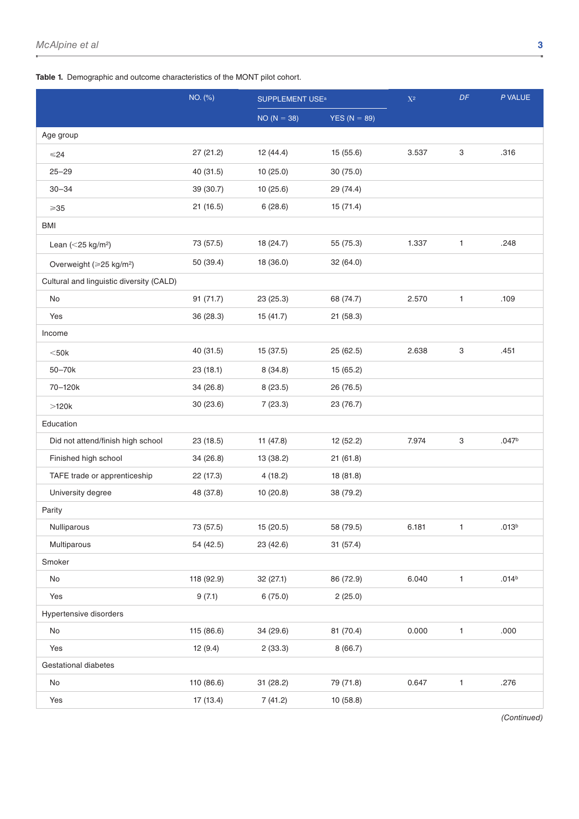**Table 1.** Demographic and outcome characteristics of the MONT pilot cohort.

|                                          | NO. (%)    |               | <b>SUPPLEMENT USE<sup>a</sup></b> |       | $\cal DF$    | P VALUE           |
|------------------------------------------|------------|---------------|-----------------------------------|-------|--------------|-------------------|
|                                          |            | $NO (N = 38)$ | YES ( $N = 89$ )                  |       |              |                   |
| Age group                                |            |               |                                   |       |              |                   |
| $≤24$                                    | 27 (21.2)  | 12 (44.4)     | 15 (55.6)                         | 3.537 | 3            | .316              |
| $25 - 29$                                | 40 (31.5)  | 10(25.0)      | 30(75.0)                          |       |              |                   |
| $30 - 34$                                | 39 (30.7)  | 10(25.6)      | 29 (74.4)                         |       |              |                   |
| $\geqslant$ 35                           | 21(16.5)   | 6(28.6)       | 15 (71.4)                         |       |              |                   |
| <b>BMI</b>                               |            |               |                                   |       |              |                   |
| Lean ( $<$ 25 kg/m <sup>2</sup> )        | 73 (57.5)  | 18 (24.7)     | 55 (75.3)                         | 1.337 | $\mathbf{1}$ | .248              |
| Overweight (≥25 kg/m <sup>2</sup> )      | 50 (39.4)  | 18 (36.0)     | 32 (64.0)                         |       |              |                   |
| Cultural and linguistic diversity (CALD) |            |               |                                   |       |              |                   |
| No                                       | 91(71.7)   | 23 (25.3)     | 68 (74.7)                         | 2.570 | $\mathbf{1}$ | .109              |
| Yes                                      | 36 (28.3)  | 15 (41.7)     | 21(58.3)                          |       |              |                   |
| Income                                   |            |               |                                   |       |              |                   |
| $<$ 50 $k$                               | 40 (31.5)  | 15 (37.5)     | 25(62.5)                          | 2.638 | 3            | .451              |
| 50-70k                                   | 23(18.1)   | 8(34.8)       | 15(65.2)                          |       |              |                   |
| 70-120k                                  | 34 (26.8)  | 8(23.5)       | 26 (76.5)                         |       |              |                   |
| $>120k$                                  | 30 (23.6)  | 7(23.3)       | 23 (76.7)                         |       |              |                   |
| Education                                |            |               |                                   |       |              |                   |
| Did not attend/finish high school        | 23(18.5)   | 11(47.8)      | 12 (52.2)                         | 7.974 | 3            | .047 <sup>b</sup> |
| Finished high school                     | 34 (26.8)  | 13 (38.2)     | 21(61.8)                          |       |              |                   |
| TAFE trade or apprenticeship             | 22 (17.3)  | 4(18.2)       | 18 (81.8)                         |       |              |                   |
| University degree                        | 48 (37.8)  | 10 (20.8)     | 38 (79.2)                         |       |              |                   |
| Parity                                   |            |               |                                   |       |              |                   |
| Nulliparous                              | 73 (57.5)  | 15 (20.5)     | 58 (79.5)                         | 6.181 | 1            | .013 <sup>b</sup> |
| Multiparous                              | 54 (42.5)  | 23 (42.6)     | 31 (57.4)                         |       |              |                   |
| Smoker                                   |            |               |                                   |       |              |                   |
| No                                       | 118 (92.9) | 32 (27.1)     | 86 (72.9)                         | 6.040 | $\mathbf{1}$ | .014 <sup>b</sup> |
| Yes                                      | 9(7.1)     | 6(75.0)       | 2(25.0)                           |       |              |                   |
| Hypertensive disorders                   |            |               |                                   |       |              |                   |
| No                                       | 115 (86.6) | 34 (29.6)     | 81 (70.4)                         | 0.000 | $\mathbf{1}$ | .000              |
| Yes                                      | 12(9.4)    | 2(33.3)       | 8(66.7)                           |       |              |                   |
| Gestational diabetes                     |            |               |                                   |       |              |                   |
| $\mathsf{No}$                            | 110 (86.6) | 31 (28.2)     | 79 (71.8)                         | 0.647 | $\mathbf{1}$ | .276              |
| Yes                                      | 17 (13.4)  | 7(41.2)       | 10 (58.8)                         |       |              |                   |

*(Continued)*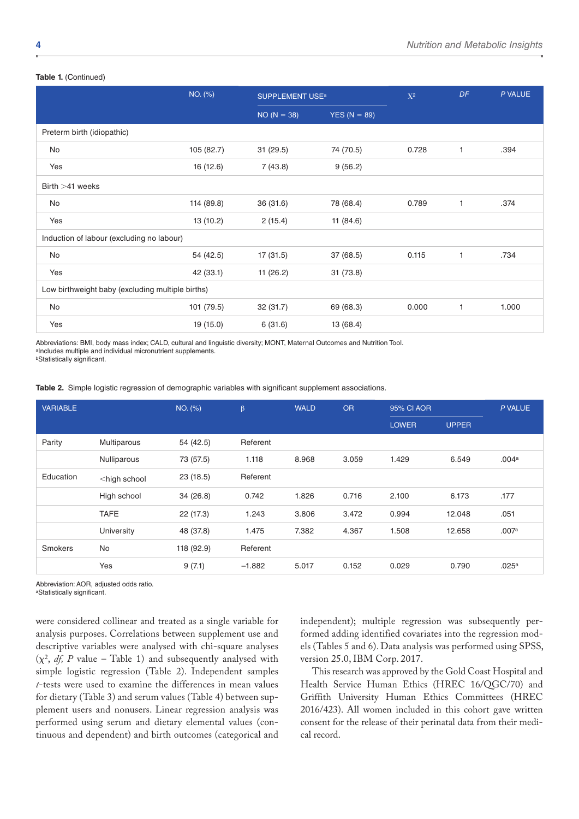#### **Table 1.** (Continued)

|                                                  | NO. (%)    | <b>SUPPLEMENT USE<sup>a</sup></b> |                | $X^2$ | DF           | P VALUE |
|--------------------------------------------------|------------|-----------------------------------|----------------|-------|--------------|---------|
|                                                  |            | $NO (N = 38)$                     | $YES (N = 89)$ |       |              |         |
| Preterm birth (idiopathic)                       |            |                                   |                |       |              |         |
| No                                               | 105 (82.7) | 31(29.5)                          | 74 (70.5)      | 0.728 | 1            | .394    |
| Yes                                              | 16 (12.6)  | 7(43.8)                           | 9(56.2)        |       |              |         |
| Birth $>41$ weeks                                |            |                                   |                |       |              |         |
| No                                               | 114 (89.8) | 36 (31.6)                         | 78 (68.4)      | 0.789 | $\mathbf{1}$ | .374    |
| Yes                                              | 13 (10.2)  | 2(15.4)                           | 11 $(84.6)$    |       |              |         |
| Induction of labour (excluding no labour)        |            |                                   |                |       |              |         |
| No                                               | 54 (42.5)  | 17(31.5)                          | 37 (68.5)      | 0.115 | $\mathbf{1}$ | .734    |
| Yes                                              | 42 (33.1)  | 11(26.2)                          | 31(73.8)       |       |              |         |
| Low birthweight baby (excluding multiple births) |            |                                   |                |       |              |         |
| No                                               | 101 (79.5) | 32 (31.7)                         | 69 (68.3)      | 0.000 | $\mathbf{1}$ | 1.000   |
| Yes                                              | 19 (15.0)  | 6(31.6)                           | 13 (68.4)      |       |              |         |

Abbreviations: BMI, body mass index; CALD, cultural and linguistic diversity; MONT, Maternal Outcomes and Nutrition Tool. aIncludes multiple and individual micronutrient supplements.

**bStatistically significant.** 

**Table 2.** Simple logistic regression of demographic variables with significant supplement associations.

| <b>VARIABLE</b> |                                                                                                               | NO. (%)    | $\beta$  | <b>WALD</b> | <b>OR</b> | 95% CI AOR   |              | P VALUE           |
|-----------------|---------------------------------------------------------------------------------------------------------------|------------|----------|-------------|-----------|--------------|--------------|-------------------|
|                 |                                                                                                               |            |          |             |           | <b>LOWER</b> | <b>UPPER</b> |                   |
| Parity          | Multiparous                                                                                                   | 54 (42.5)  | Referent |             |           |              |              |                   |
|                 | Nulliparous                                                                                                   | 73 (57.5)  | 1.118    | 8.968       | 3.059     | 1.429        | 6.549        | .004 <sup>a</sup> |
| Education       | <high school<="" td=""><td>23(18.5)</td><td>Referent</td><td></td><td></td><td></td><td></td><td></td></high> | 23(18.5)   | Referent |             |           |              |              |                   |
|                 | High school                                                                                                   | 34(26.8)   | 0.742    | 1.826       | 0.716     | 2.100        | 6.173        | .177              |
|                 | <b>TAFE</b>                                                                                                   | 22 (17.3)  | 1.243    | 3.806       | 3.472     | 0.994        | 12.048       | .051              |
|                 | University                                                                                                    | 48 (37.8)  | 1.475    | 7.382       | 4.367     | 1.508        | 12.658       | .007a             |
| Smokers         | No                                                                                                            | 118 (92.9) | Referent |             |           |              |              |                   |
|                 | Yes                                                                                                           | 9(7.1)     | $-1.882$ | 5.017       | 0.152     | 0.029        | 0.790        | .025a             |

Abbreviation: AOR, adjusted odds ratio.

aStatistically significant.

were considered collinear and treated as a single variable for analysis purposes. Correlations between supplement use and descriptive variables were analysed with chi-square analyses  $(\chi^2, df, P$  value – Table 1) and subsequently analysed with simple logistic regression (Table 2). Independent samples *t*-tests were used to examine the differences in mean values for dietary (Table 3) and serum values (Table 4) between supplement users and nonusers. Linear regression analysis was performed using serum and dietary elemental values (continuous and dependent) and birth outcomes (categorical and independent); multiple regression was subsequently performed adding identified covariates into the regression models (Tables 5 and 6). Data analysis was performed using SPSS, version 25.0, IBM Corp. 2017.

This research was approved by the Gold Coast Hospital and Health Service Human Ethics (HREC 16/QGC/70) and Griffith University Human Ethics Committees (HREC 2016/423). All women included in this cohort gave written consent for the release of their perinatal data from their medical record.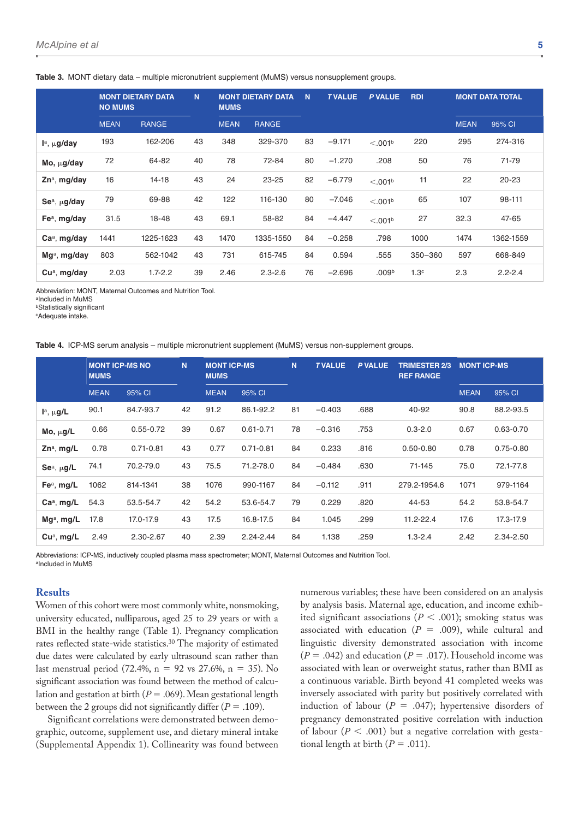|                               | <b>NO MUMS</b> | <b>MONT DIETARY DATA</b> | N. | <b>MUMS</b> | <b>MONT DIETARY DATA</b> | N. | <b>TVALUE</b> | <b>P VALUE</b>      | <b>RDI</b>       |             | <b>MONT DATA TOTAL</b> |  |  |
|-------------------------------|----------------|--------------------------|----|-------------|--------------------------|----|---------------|---------------------|------------------|-------------|------------------------|--|--|
|                               | <b>MEAN</b>    | <b>RANGE</b>             |    | <b>MEAN</b> | <b>RANGE</b>             |    |               |                     |                  | <b>MEAN</b> | 95% CI                 |  |  |
| $Ia$ , $\mu$ g/day            | 193            | 162-206                  | 43 | 348         | 329-370                  | 83 | $-9.171$      | < 0.01 <sup>b</sup> | 220              | 295         | 274-316                |  |  |
| $Mo, \mu g/day$               | 72             | 64-82                    | 40 | 78          | 72-84                    | 80 | $-1.270$      | .208                | 50               | 76          | 71-79                  |  |  |
| $Zn^a$ , mg/day               | 16             | 14-18                    | 43 | 24          | $23 - 25$                | 82 | $-6.779$      | < 0.01 <sup>b</sup> | 11               | 22          | $20 - 23$              |  |  |
| $\mathsf{Se}^a$ , $\mu$ g/day | 79             | 69-88                    | 42 | 122         | 116-130                  | 80 | $-7.046$      | < 0.01 <sup>b</sup> | 65               | 107         | 98-111                 |  |  |
| $Fea$ , mg/day                | 31.5           | 18-48                    | 43 | 69.1        | 58-82                    | 84 | $-4.447$      | < 0.01 <sup>b</sup> | 27               | 32.3        | 47-65                  |  |  |
| $Caa$ , mg/day                | 1441           | 1225-1623                | 43 | 1470        | 1335-1550                | 84 | $-0.258$      | .798                | 1000             | 1474        | 1362-1559              |  |  |
| Mg <sup>a</sup> , mg/day      | 803            | 562-1042                 | 43 | 731         | 615-745                  | 84 | 0.594         | .555                | 350-360          | 597         | 668-849                |  |  |
| $Cua$ , mg/day                | 2.03           | $1.7 - 2.2$              | 39 | 2.46        | $2.3 - 2.6$              | 76 | $-2.696$      | .009 <sup>b</sup>   | 1.3 <sup>c</sup> | 2.3         | $2.2 - 2.4$            |  |  |

**Table 3.** MONT dietary data – multiple micronutrient supplement (MuMS) versus nonsupplement groups.

Abbreviation: MONT, Maternal Outcomes and Nutrition Tool.

aIncluded in MuMS

**bStatistically significant** 

cAdequate intake.

|  |  |  |  |  |  |  |  |  | Table 4. ICP-MS serum analysis - multiple micronutrient supplement (MuMS) versus non-supplement groups. |  |
|--|--|--|--|--|--|--|--|--|---------------------------------------------------------------------------------------------------------|--|
|--|--|--|--|--|--|--|--|--|---------------------------------------------------------------------------------------------------------|--|

|                             | <b>MUMS</b> | <b>MONT ICP-MS NO</b> | N  | <b>MUMS</b> | N.<br><b>MONT ICP-MS</b> |    | <b>TVALUE</b> | P VALUE | <b>TRIMESTER 2/3</b><br><b>REF RANGE</b> | <b>MONT ICP-MS</b> |               |
|-----------------------------|-------------|-----------------------|----|-------------|--------------------------|----|---------------|---------|------------------------------------------|--------------------|---------------|
|                             | <b>MEAN</b> | 95% CI                |    | <b>MEAN</b> | 95% CI                   |    |               |         |                                          | <b>MEAN</b>        | 95% CI        |
| $I^a$ , $\mu$ g/L           | 90.1        | 84.7-93.7             | 42 | 91.2        | 86.1-92.2                | 81 | $-0.403$      | .688    | 40-92                                    | 90.8               | 88.2-93.5     |
| Mo, $\mu$ g/L               | 0.66        | $0.55 - 0.72$         | 39 | 0.67        | $0.61 - 0.71$            | 78 | $-0.316$      | .753    | $0.3 - 2.0$                              | 0.67               | $0.63 - 0.70$ |
| $Zn^a$ , mg/L               | 0.78        | $0.71 - 0.81$         | 43 | 0.77        | $0.71 - 0.81$            | 84 | 0.233         | .816    | $0.50 - 0.80$                            | 0.78               | $0.75 - 0.80$ |
| Se <sup>a</sup> , $\mu$ g/L | 74.1        | 70.2-79.0             | 43 | 75.5        | 71.2-78.0                | 84 | $-0.484$      | .630    | 71-145                                   | 75.0               | 72.1-77.8     |
| Fe <sup>a</sup> , mg/L      | 1062        | 814-1341              | 38 | 1076        | 990-1167                 | 84 | $-0.112$      | .911    | 279.2-1954.6                             | 1071               | 979-1164      |
| $Caa$ , mg/L                | 54.3        | 53.5-54.7             | 42 | 54.2        | 53.6-54.7                | 79 | 0.229         | .820    | 44-53                                    | 54.2               | 53.8-54.7     |
| $Mga$ , mg/L                | 17.8        | 17.0-17.9             | 43 | 17.5        | 16.8-17.5                | 84 | 1.045         | .299    | 11.2-22.4                                | 17.6               | 17.3-17.9     |
| $Cua$ , mg/L                | 2.49        | 2.30-2.67             | 40 | 2.39        | 2.24-2.44                | 84 | 1.138         | .259    | $1.3 - 2.4$                              | 2.42               | 2.34-2.50     |

Abbreviations: ICP-MS, inductively coupled plasma mass spectrometer; MONT, Maternal Outcomes and Nutrition Tool. aIncluded in MuMS

## **Results**

Women of this cohort were most commonly white, nonsmoking, university educated, nulliparous, aged 25 to 29 years or with a BMI in the healthy range (Table 1). Pregnancy complication rates reflected state-wide statistics.30 The majority of estimated due dates were calculated by early ultrasound scan rather than last menstrual period (72.4%,  $n = 92$  vs 27.6%,  $n = 35$ ). No significant association was found between the method of calculation and gestation at birth (*P* = .069). Mean gestational length between the 2 groups did not significantly differ  $(P = .109)$ .

Significant correlations were demonstrated between demographic, outcome, supplement use, and dietary mineral intake [\(Supplemental Appendix 1\)](https://journals.sagepub.com/doi/suppl/10.1177/1178638819879444). Collinearity was found between

numerous variables; these have been considered on an analysis by analysis basis. Maternal age, education, and income exhibited significant associations (*P* < .001); smoking status was associated with education  $(P = .009)$ , while cultural and linguistic diversity demonstrated association with income  $(P = .042)$  and education  $(P = .017)$ . Household income was associated with lean or overweight status, rather than BMI as a continuous variable. Birth beyond 41 completed weeks was inversely associated with parity but positively correlated with induction of labour ( $P = .047$ ); hypertensive disorders of pregnancy demonstrated positive correlation with induction of labour ( $P < .001$ ) but a negative correlation with gestational length at birth  $(P = .011)$ .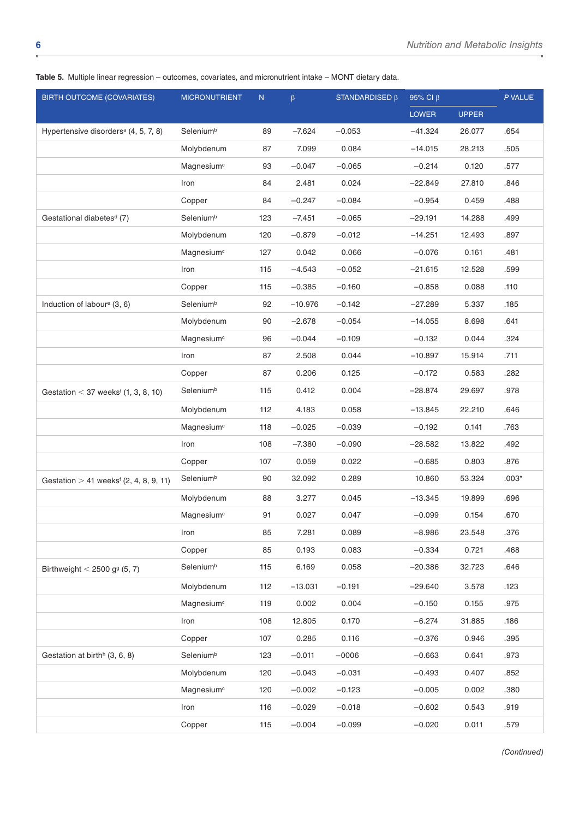|  | Table 5. Multiple linear regression – outcomes, covariates, and micronutrient intake – MONT dietary data. |  |  |  |  |  |  |  |  |  |
|--|-----------------------------------------------------------------------------------------------------------|--|--|--|--|--|--|--|--|--|
|--|-----------------------------------------------------------------------------------------------------------|--|--|--|--|--|--|--|--|--|

| <b>BIRTH OUTCOME (COVARIATES)</b>                                 | <b>MICRONUTRIENT</b>   | ${\sf N}$ | $\beta$   | STANDARDISED $\beta$ | 95% Cl $\beta$ |              | P VALUE |
|-------------------------------------------------------------------|------------------------|-----------|-----------|----------------------|----------------|--------------|---------|
|                                                                   |                        |           |           |                      | <b>LOWER</b>   | <b>UPPER</b> |         |
| Hypertensive disorders <sup>a</sup> (4, 5, 7, 8)                  | Selenium <sup>b</sup>  | 89        | $-7.624$  | $-0.053$             | $-41.324$      | 26.077       | .654    |
|                                                                   | Molybdenum             | 87        | 7.099     | 0.084                | $-14.015$      | 28.213       | .505    |
|                                                                   | Magnesium <sup>c</sup> | 93        | $-0.047$  | $-0.065$             | $-0.214$       | 0.120        | .577    |
|                                                                   | Iron                   | 84        | 2.481     | 0.024                | $-22.849$      | 27.810       | .846    |
|                                                                   | Copper                 | 84        | $-0.247$  | $-0.084$             | $-0.954$       | 0.459        | .488    |
| Gestational diabetes <sup>d</sup> (7)                             | Selenium <sup>b</sup>  | 123       | $-7.451$  | $-0.065$             | $-29.191$      | 14.288       | .499    |
|                                                                   | Molybdenum             | 120       | $-0.879$  | $-0.012$             | $-14.251$      | 12.493       | .897    |
|                                                                   | Magnesium <sup>c</sup> | 127       | 0.042     | 0.066                | $-0.076$       | 0.161        | .481    |
|                                                                   | Iron                   | 115       | $-4.543$  | $-0.052$             | $-21.615$      | 12.528       | .599    |
|                                                                   | Copper                 | 115       | $-0.385$  | $-0.160$             | $-0.858$       | 0.088        | .110    |
| Induction of labour <sup>e</sup> (3, 6)                           | Selenium <sup>b</sup>  | 92        | $-10.976$ | $-0.142$             | $-27.289$      | 5.337        | .185    |
|                                                                   | Molybdenum             | 90        | $-2.678$  | $-0.054$             | $-14.055$      | 8.698        | .641    |
|                                                                   | Magnesium <sup>c</sup> | 96        | $-0.044$  | $-0.109$             | $-0.132$       | 0.044        | .324    |
|                                                                   | Iron                   | 87        | 2.508     | 0.044                | $-10.897$      | 15.914       | .711    |
|                                                                   | Copper                 | 87        | 0.206     | 0.125                | $-0.172$       | 0.583        | .282    |
| Gestation $<$ 37 weeks <sup><math>f</math></sup> (1, 3, 8, 10)    | Selenium <sup>b</sup>  | 115       | 0.412     | 0.004                | $-28.874$      | 29.697       | .978    |
|                                                                   | Molybdenum             | 112       | 4.183     | 0.058                | $-13.845$      | 22.210       | .646    |
|                                                                   | Magnesium <sup>c</sup> | 118       | $-0.025$  | $-0.039$             | $-0.192$       | 0.141        | .763    |
|                                                                   | Iron                   | 108       | $-7.380$  | $-0.090$             | $-28.582$      | 13.822       | .492    |
|                                                                   | Copper                 | 107       | 0.059     | 0.022                | $-0.685$       | 0.803        | .876    |
| Gestation $> 41$ weeks <sup><math>f</math></sup> (2, 4, 8, 9, 11) | Selenium <sup>b</sup>  | 90        | 32.092    | 0.289                | 10.860         | 53.324       | $.003*$ |
|                                                                   | Molybdenum             | 88        | 3.277     | 0.045                | $-13.345$      | 19.899       | .696    |
|                                                                   | Magnesium <sup>c</sup> | 91        | 0.027     | 0.047                | $-0.099$       | 0.154        | .670    |
|                                                                   | Iron                   | 85        | 7.281     | 0.089                | $-8.986$       | 23.548       | .376    |
|                                                                   | Copper                 | 85        | 0.193     | 0.083                | $-0.334$       | 0.721        | .468    |
| Birthweight $<$ 2500 g <sup>g</sup> (5, 7)                        | Selenium <sup>b</sup>  | 115       | 6.169     | 0.058                | $-20.386$      | 32.723       | .646    |
|                                                                   | Molybdenum             | 112       | $-13.031$ | $-0.191$             | $-29.640$      | 3.578        | .123    |
|                                                                   | Magnesium <sup>c</sup> | 119       | 0.002     | 0.004                | $-0.150$       | 0.155        | .975    |
|                                                                   | Iron                   | 108       | 12.805    | 0.170                | $-6.274$       | 31.885       | .186    |
|                                                                   | Copper                 | 107       | 0.285     | 0.116                | $-0.376$       | 0.946        | .395    |
| Gestation at birth <sup>h</sup> (3, 6, 8)                         | Selenium <sup>b</sup>  | 123       | $-0.011$  | $-0006$              | $-0.663$       | 0.641        | .973    |
|                                                                   | Molybdenum             | 120       | $-0.043$  | $-0.031$             | $-0.493$       | 0.407        | .852    |
|                                                                   | Magnesium <sup>c</sup> | 120       | $-0.002$  | $-0.123$             | $-0.005$       | 0.002        | .380    |
|                                                                   | Iron                   | 116       | $-0.029$  | $-0.018$             | $-0.602$       | 0.543        | .919    |
|                                                                   | Copper                 | 115       | $-0.004$  | $-0.099$             | $-0.020$       | 0.011        | .579    |

*(Continued)*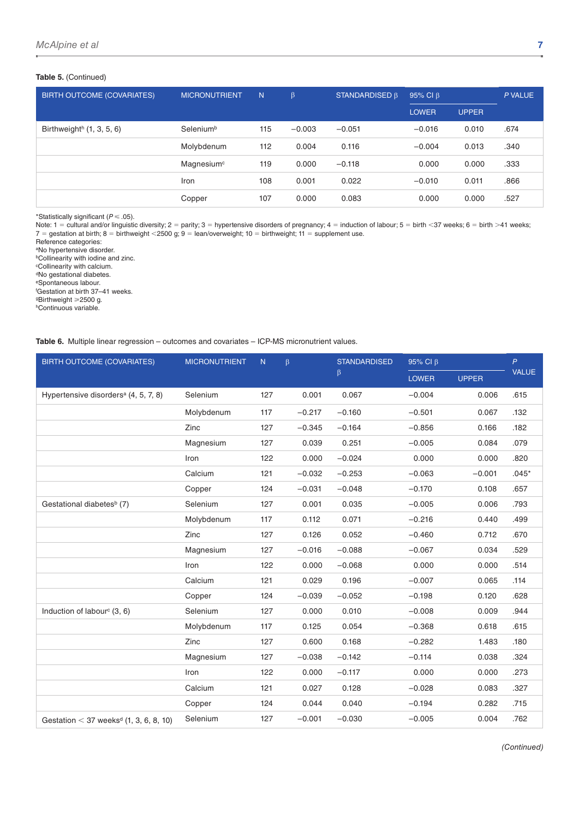## **Table 5.** (Continued)

| <b>BIRTH OUTCOME (COVARIATES)</b>       | <b>MICRONUTRIENT</b>   | N   | $\beta$  | STANDARDISED B | 95% CI $\beta$ |              | P VALUE |
|-----------------------------------------|------------------------|-----|----------|----------------|----------------|--------------|---------|
|                                         |                        |     |          |                | <b>LOWER</b>   | <b>UPPER</b> |         |
| Birthweight <sup>h</sup> $(1, 3, 5, 6)$ | Selenium <sup>b</sup>  | 115 | $-0.003$ | $-0.051$       | $-0.016$       | 0.010        | .674    |
|                                         | Molybdenum             | 112 | 0.004    | 0.116          | $-0.004$       | 0.013        | .340    |
|                                         | Magnesium <sup>c</sup> | 119 | 0.000    | $-0.118$       | 0.000          | 0.000        | .333    |
|                                         | Iron                   | 108 | 0.001    | 0.022          | $-0.010$       | 0.011        | .866    |
|                                         | Copper                 | 107 | 0.000    | 0.083          | 0.000          | 0.000        | .527    |

\*Statistically significant (*P* ⩽ .05).

Note: 1 = cultural and/or linguistic diversity; 2 = parity; 3 = hypertensive disorders of pregnancy; 4 = induction of labour; 5 = birth <37 weeks; 6 = birth >41 weeks; 7 = gestation at birth; 8 = birthweight <2500 g; 9 = lean/overweight; 10 = birthweight; 11 = supplement use.

Reference categories: aNo hypertensive disorder. bCollinearity with iodine and zinc.

cCollinearity with calcium. dNo gestational diabetes. eSpontaneous labour.

f Gestation at birth 37–41 weeks. <sup>g</sup>Birthweight ≥2500 g. hContinuous variable.

**Table 6.** Multiple linear regression – outcomes and covariates – ICP-MS micronutrient values.

| <b>BIRTH OUTCOME (COVARIATES)</b>                  | <b>MICRONUTRIENT</b> | N   | $\beta$  | <b>STANDARDISED</b> | 95% Cl β     |              | $\overline{P}$ |
|----------------------------------------------------|----------------------|-----|----------|---------------------|--------------|--------------|----------------|
|                                                    |                      |     |          | $\beta$             | <b>LOWER</b> | <b>UPPER</b> | VALUE          |
| Hypertensive disorders <sup>a</sup> (4, 5, 7, 8)   | Selenium             | 127 | 0.001    | 0.067               | $-0.004$     | 0.006        | .615           |
|                                                    | Molybdenum           | 117 | $-0.217$ | $-0.160$            | $-0.501$     | 0.067        | .132           |
|                                                    | Zinc                 | 127 | $-0.345$ | $-0.164$            | $-0.856$     | 0.166        | .182           |
|                                                    | Magnesium            | 127 | 0.039    | 0.251               | $-0.005$     | 0.084        | .079           |
|                                                    | Iron                 | 122 | 0.000    | $-0.024$            | 0.000        | 0.000        | .820           |
|                                                    | Calcium              | 121 | $-0.032$ | $-0.253$            | $-0.063$     | $-0.001$     | $.045*$        |
|                                                    | Copper               | 124 | $-0.031$ | $-0.048$            | $-0.170$     | 0.108        | .657           |
| Gestational diabetes <sup>b</sup> (7)              | Selenium             | 127 | 0.001    | 0.035               | $-0.005$     | 0.006        | .793           |
|                                                    | Molybdenum           | 117 | 0.112    | 0.071               | $-0.216$     | 0.440        | .499           |
|                                                    | Zinc                 | 127 | 0.126    | 0.052               | $-0.460$     | 0.712        | .670           |
|                                                    | Magnesium            | 127 | $-0.016$ | $-0.088$            | $-0.067$     | 0.034        | .529           |
|                                                    | Iron                 | 122 | 0.000    | $-0.068$            | 0.000        | 0.000        | .514           |
|                                                    | Calcium              | 121 | 0.029    | 0.196               | $-0.007$     | 0.065        | .114           |
|                                                    | Copper               | 124 | $-0.039$ | $-0.052$            | $-0.198$     | 0.120        | .628           |
| Induction of labour <sup>c</sup> (3, 6)            | Selenium             | 127 | 0.000    | 0.010               | $-0.008$     | 0.009        | .944           |
|                                                    | Molybdenum           | 117 | 0.125    | 0.054               | $-0.368$     | 0.618        | .615           |
|                                                    | Zinc                 | 127 | 0.600    | 0.168               | $-0.282$     | 1.483        | .180           |
|                                                    | Magnesium            | 127 | $-0.038$ | $-0.142$            | $-0.114$     | 0.038        | .324           |
|                                                    | Iron                 | 122 | 0.000    | $-0.117$            | 0.000        | 0.000        | .273           |
|                                                    | Calcium              | 121 | 0.027    | 0.128               | $-0.028$     | 0.083        | .327           |
|                                                    | Copper               | 124 | 0.044    | 0.040               | $-0.194$     | 0.282        | .715           |
| Gestation < 37 weeks <sup>d</sup> (1, 3, 6, 8, 10) | Selenium             | 127 | $-0.001$ | $-0.030$            | $-0.005$     | 0.004        | .762           |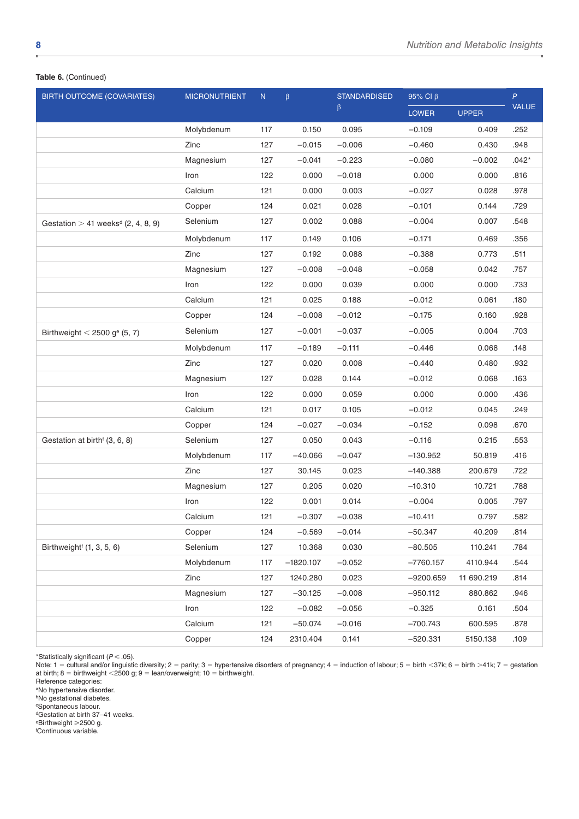## **Table 6.** (Continued)

| <b>BIRTH OUTCOME (COVARIATES)</b>                | <b>MICRONUTRIENT</b> | ${\sf N}$ | $\beta$     | <b>STANDARDISED</b> | $95\%$ Cl $\beta$ |              | $\overline{P}$ |
|--------------------------------------------------|----------------------|-----------|-------------|---------------------|-------------------|--------------|----------------|
|                                                  |                      |           |             | β                   | <b>LOWER</b>      | <b>UPPER</b> | VALUE          |
|                                                  | Molybdenum           | 117       | 0.150       | 0.095               | $-0.109$          | 0.409        | .252           |
|                                                  | Zinc                 | 127       | $-0.015$    | $-0.006$            | $-0.460$          | 0.430        | .948           |
|                                                  | Magnesium            | 127       | $-0.041$    | $-0.223$            | $-0.080$          | $-0.002$     | $.042*$        |
|                                                  | Iron                 | 122       | 0.000       | $-0.018$            | 0.000             | 0.000        | .816           |
|                                                  | Calcium              | 121       | 0.000       | 0.003               | $-0.027$          | 0.028        | .978           |
|                                                  | Copper               | 124       | 0.021       | 0.028               | $-0.101$          | 0.144        | .729           |
| Gestation $> 41$ weeks <sup>d</sup> (2, 4, 8, 9) | Selenium             | 127       | 0.002       | 0.088               | $-0.004$          | 0.007        | .548           |
|                                                  | Molybdenum           | 117       | 0.149       | 0.106               | $-0.171$          | 0.469        | .356           |
|                                                  | Zinc                 | 127       | 0.192       | 0.088               | $-0.388$          | 0.773        | .511           |
|                                                  | Magnesium            | 127       | $-0.008$    | $-0.048$            | $-0.058$          | 0.042        | .757           |
|                                                  | Iron                 | 122       | 0.000       | 0.039               | 0.000             | 0.000        | .733           |
|                                                  | Calcium              | 121       | 0.025       | 0.188               | $-0.012$          | 0.061        | .180           |
|                                                  | Copper               | 124       | $-0.008$    | $-0.012$            | $-0.175$          | 0.160        | .928           |
| Birthweight $<$ 2500 g <sup>e</sup> (5, 7)       | Selenium             | 127       | $-0.001$    | $-0.037$            | $-0.005$          | 0.004        | .703           |
|                                                  | Molybdenum           | 117       | $-0.189$    | $-0.111$            | $-0.446$          | 0.068        | .148           |
|                                                  | Zinc                 | 127       | 0.020       | 0.008               | $-0.440$          | 0.480        | .932           |
|                                                  | Magnesium            | 127       | 0.028       | 0.144               | $-0.012$          | 0.068        | .163           |
|                                                  | Iron                 | 122       | 0.000       | 0.059               | 0.000             | 0.000        | .436           |
|                                                  | Calcium              | 121       | 0.017       | 0.105               | $-0.012$          | 0.045        | .249           |
|                                                  | Copper               | 124       | $-0.027$    | $-0.034$            | $-0.152$          | 0.098        | .670           |
| Gestation at birth <sup>f</sup> (3, 6, 8)        | Selenium             | 127       | 0.050       | 0.043               | $-0.116$          | 0.215        | .553           |
|                                                  | Molybdenum           | 117       | $-40.066$   | $-0.047$            | -130.952          | 50.819       | .416           |
|                                                  | Zinc                 | 127       | 30.145      | 0.023               | $-140.388$        | 200.679      | .722           |
|                                                  | Magnesium            | 127       | 0.205       | 0.020               | $-10.310$         | 10.721       | .788           |
|                                                  | Iron                 | 122       | 0.001       | 0.014               | $-0.004$          | 0.005        | .797           |
|                                                  | Calcium              | 121       | $-0.307$    | $-0.038$            | $-10.411$         | 0.797        | .582           |
|                                                  | Copper               | 124       | $-0.569$    | $-0.014$            | $-50.347$         | 40.209       | .814           |
| Birthweight <sup>f</sup> (1, 3, 5, 6)            | Selenium             | 127       | 10.368      | 0.030               | $-80.505$         | 110.241      | .784           |
|                                                  | Molybdenum           | 117       | $-1820.107$ | $-0.052$            | $-7760.157$       | 4110.944     | .544           |
|                                                  | Zinc                 | 127       | 1240.280    | 0.023               | $-9200.659$       | 11 690.219   | .814           |
|                                                  | Magnesium            | 127       | $-30.125$   | $-0.008$            | $-950.112$        | 880.862      | .946           |
|                                                  | Iron                 | 122       | $-0.082$    | $-0.056$            | $-0.325$          | 0.161        | .504           |
|                                                  | Calcium              | 121       | $-50.074$   | $-0.016$            | $-700.743$        | 600.595      | .878           |
|                                                  | Copper               | 124       | 2310.404    | 0.141               | $-520.331$        | 5150.138     | .109           |

\*Statistically significant (*P* ⩽ .05).

Note: 1 = cultural and/or linguistic diversity; 2 = parity; 3 = hypertensive disorders of pregnancy; 4 = induction of labour; 5 = birth <37k; 6 = birth >41k; 7 = gestation at birth; 8 = birthweight <2500 g; 9 = lean/overweight; 10 = birthweight.

Reference categories:

aNo hypertensive disorder.

**bNo gestational diabetes.** 

cSpontaneous labour.

dGestation at birth 37–41 weeks.  $e$ Birthweight  $\geq$ 2500 g.

f Continuous variable.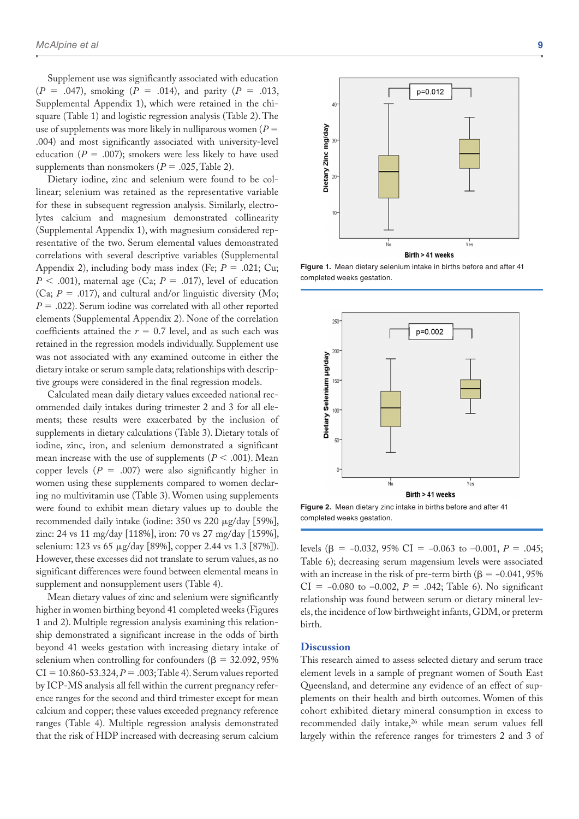Supplement use was significantly associated with education (*P* = .047), smoking (*P* = .014), and parity (*P* = .013, [Supplemental Appendix 1\)](https://journals.sagepub.com/doi/suppl/10.1177/1178638819879444), which were retained in the chisquare (Table 1) and logistic regression analysis (Table 2). The use of supplements was more likely in nulliparous women (*P* = .004) and most significantly associated with university-level education ( $P = .007$ ); smokers were less likely to have used supplements than nonsmokers  $(P = .025, \text{Table 2}).$ 

Dietary iodine, zinc and selenium were found to be collinear; selenium was retained as the representative variable for these in subsequent regression analysis. Similarly, electrolytes calcium and magnesium demonstrated collinearity [\(Supplemental Appendix 1\)](https://journals.sagepub.com/doi/suppl/10.1177/1178638819879444), with magnesium considered representative of the two. Serum elemental values demonstrated correlations with several descriptive variables ([Supplemental](https://journals.sagepub.com/doi/suppl/10.1177/1178638819879444) [Appendix 2](https://journals.sagepub.com/doi/suppl/10.1177/1178638819879444)), including body mass index (Fe; *P* = .021; Cu;  $P \leq .001$ , maternal age (Ca;  $P = .017$ ), level of education (Ca;  $P = .017$ ), and cultural and/or linguistic diversity (Mo; *P* = .022). Serum iodine was correlated with all other reported elements [\(Supplemental Appendix 2\)](https://journals.sagepub.com/doi/suppl/10.1177/1178638819879444). None of the correlation coefficients attained the  $r = 0.7$  level, and as such each was retained in the regression models individually. Supplement use was not associated with any examined outcome in either the dietary intake or serum sample data; relationships with descriptive groups were considered in the final regression models.

Calculated mean daily dietary values exceeded national recommended daily intakes during trimester 2 and 3 for all elements; these results were exacerbated by the inclusion of supplements in dietary calculations (Table 3). Dietary totals of iodine, zinc, iron, and selenium demonstrated a significant mean increase with the use of supplements  $(P < .001)$ . Mean copper levels  $(P = .007)$  were also significantly higher in women using these supplements compared to women declaring no multivitamin use (Table 3). Women using supplements were found to exhibit mean dietary values up to double the recommended daily intake (iodine: 350 vs 220 μg/day [59%], zinc: 24 vs 11 mg/day [118%], iron: 70 vs 27 mg/day [159%], selenium: 123 vs 65 μg/day [89%], copper 2.44 vs 1.3 [87%]). However, these excesses did not translate to serum values, as no significant differences were found between elemental means in supplement and nonsupplement users (Table 4).

Mean dietary values of zinc and selenium were significantly higher in women birthing beyond 41 completed weeks (Figures 1 and 2). Multiple regression analysis examining this relationship demonstrated a significant increase in the odds of birth beyond 41 weeks gestation with increasing dietary intake of selenium when controlling for confounders ( $\beta = 32.092, 95\%$  $CI = 10.860 - 53.324, P = .003$ ; Table 4). Serum values reported by ICP-MS analysis all fell within the current pregnancy reference ranges for the second and third trimester except for mean calcium and copper; these values exceeded pregnancy reference ranges (Table 4). Multiple regression analysis demonstrated that the risk of HDP increased with decreasing serum calcium



**Figure 1.** Mean dietary selenium intake in births before and after 41 completed weeks gestation.





levels ( $\beta$  = -0.032, 95% CI = -0.063 to -0.001, *P* = .045; Table 6); decreasing serum magensium levels were associated with an increase in the risk of pre-term birth ( $\beta$  = -0.041, 95%) CI =  $-0.080$  to  $-0.002$ ,  $P = .042$ ; Table 6). No significant relationship was found between serum or dietary mineral levels, the incidence of low birthweight infants, GDM, or preterm birth.

## **Discussion**

This research aimed to assess selected dietary and serum trace element levels in a sample of pregnant women of South East Queensland, and determine any evidence of an effect of supplements on their health and birth outcomes. Women of this cohort exhibited dietary mineral consumption in excess to recommended daily intake,<sup>26</sup> while mean serum values fell largely within the reference ranges for trimesters 2 and 3 of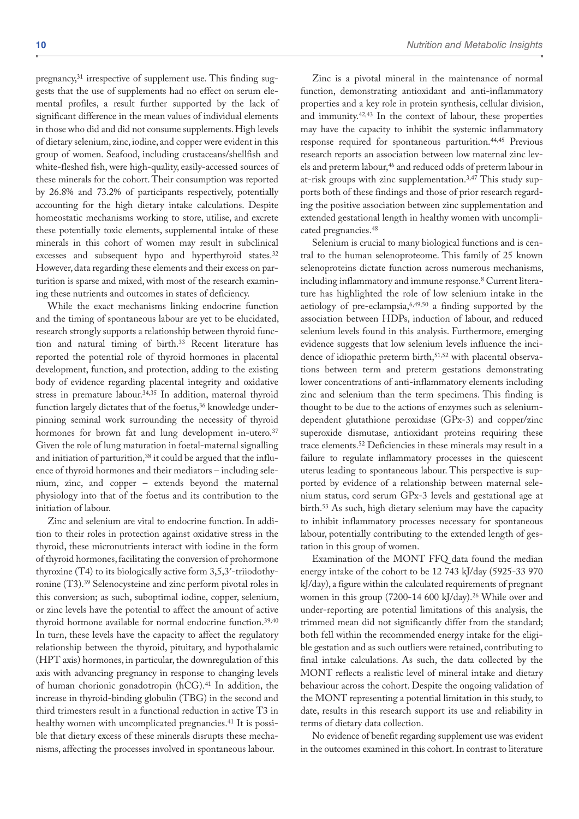pregnancy,<sup>31</sup> irrespective of supplement use. This finding suggests that the use of supplements had no effect on serum elemental profiles, a result further supported by the lack of significant difference in the mean values of individual elements in those who did and did not consume supplements. High levels of dietary selenium, zinc, iodine, and copper were evident in this group of women. Seafood, including crustaceans/shellfish and white-fleshed fish, were high-quality, easily-accessed sources of these minerals for the cohort. Their consumption was reported by 26.8% and 73.2% of participants respectively, potentially accounting for the high dietary intake calculations. Despite homeostatic mechanisms working to store, utilise, and excrete these potentially toxic elements, supplemental intake of these minerals in this cohort of women may result in subclinical excesses and subsequent hypo and hyperthyroid states.<sup>32</sup> However, data regarding these elements and their excess on parturition is sparse and mixed, with most of the research examining these nutrients and outcomes in states of deficiency.

While the exact mechanisms linking endocrine function and the timing of spontaneous labour are yet to be elucidated, research strongly supports a relationship between thyroid function and natural timing of birth.33 Recent literature has reported the potential role of thyroid hormones in placental development, function, and protection, adding to the existing body of evidence regarding placental integrity and oxidative stress in premature labour.34,35 In addition, maternal thyroid function largely dictates that of the foetus,<sup>36</sup> knowledge underpinning seminal work surrounding the necessity of thyroid hormones for brown fat and lung development in-utero.<sup>37</sup> Given the role of lung maturation in foetal-maternal signalling and initiation of parturition,<sup>38</sup> it could be argued that the influence of thyroid hormones and their mediators – including selenium, zinc, and copper – extends beyond the maternal physiology into that of the foetus and its contribution to the initiation of labour.

Zinc and selenium are vital to endocrine function. In addition to their roles in protection against oxidative stress in the thyroid, these micronutrients interact with iodine in the form of thyroid hormones, facilitating the conversion of prohormone thyroxine (T4) to its biologically active form 3,5,3′-triiodothyronine (T3).39 Selenocysteine and zinc perform pivotal roles in this conversion; as such, suboptimal iodine, copper, selenium, or zinc levels have the potential to affect the amount of active thyroid hormone available for normal endocrine function.39,40 In turn, these levels have the capacity to affect the regulatory relationship between the thyroid, pituitary, and hypothalamic (HPT axis) hormones, in particular, the downregulation of this axis with advancing pregnancy in response to changing levels of human chorionic gonadotropin (hCG).41 In addition, the increase in thyroid-binding globulin (TBG) in the second and third trimesters result in a functional reduction in active T3 in healthy women with uncomplicated pregnancies.<sup>41</sup> It is possible that dietary excess of these minerals disrupts these mechanisms, affecting the processes involved in spontaneous labour.

Zinc is a pivotal mineral in the maintenance of normal function, demonstrating antioxidant and anti-inflammatory properties and a key role in protein synthesis, cellular division, and immunity.42,43 In the context of labour, these properties may have the capacity to inhibit the systemic inflammatory response required for spontaneous parturition.44,45 Previous research reports an association between low maternal zinc levels and preterm labour,<sup>46</sup> and reduced odds of preterm labour in at-risk groups with zinc supplementation.3,47 This study supports both of these findings and those of prior research regarding the positive association between zinc supplementation and extended gestational length in healthy women with uncomplicated pregnancies.48

Selenium is crucial to many biological functions and is central to the human selenoproteome. This family of 25 known selenoproteins dictate function across numerous mechanisms, including inflammatory and immune response.8 Current literature has highlighted the role of low selenium intake in the aetiology of pre-eclampsia,6,49,50 a finding supported by the association between HDPs, induction of labour, and reduced selenium levels found in this analysis. Furthermore, emerging evidence suggests that low selenium levels influence the incidence of idiopathic preterm birth,<sup>51,52</sup> with placental observations between term and preterm gestations demonstrating lower concentrations of anti-inflammatory elements including zinc and selenium than the term specimens. This finding is thought to be due to the actions of enzymes such as seleniumdependent glutathione peroxidase (GPx-3) and copper/zinc superoxide dismutase, antioxidant proteins requiring these trace elements.<sup>52</sup> Deficiencies in these minerals may result in a failure to regulate inflammatory processes in the quiescent uterus leading to spontaneous labour. This perspective is supported by evidence of a relationship between maternal selenium status, cord serum GPx-3 levels and gestational age at birth.53 As such, high dietary selenium may have the capacity to inhibit inflammatory processes necessary for spontaneous labour, potentially contributing to the extended length of gestation in this group of women.

Examination of the MONT FFQ data found the median energy intake of the cohort to be 12 743 kJ/day (5925-33 970 kJ/day), a figure within the calculated requirements of pregnant women in this group (7200-14 600 kJ/day).26 While over and under-reporting are potential limitations of this analysis, the trimmed mean did not significantly differ from the standard; both fell within the recommended energy intake for the eligible gestation and as such outliers were retained, contributing to final intake calculations. As such, the data collected by the MONT reflects a realistic level of mineral intake and dietary behaviour across the cohort. Despite the ongoing validation of the MONT representing a potential limitation in this study, to date, results in this research support its use and reliability in terms of dietary data collection.

No evidence of benefit regarding supplement use was evident in the outcomes examined in this cohort. In contrast to literature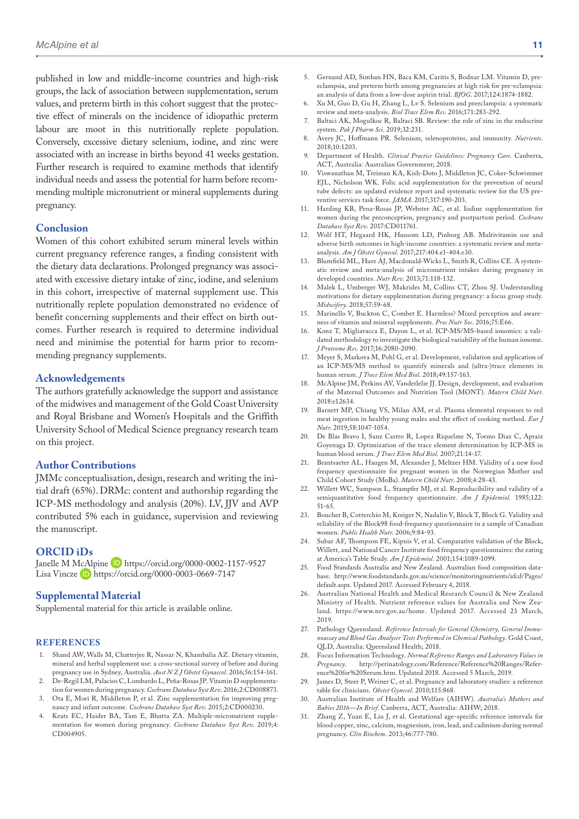published in low and middle-income countries and high-risk groups, the lack of association between supplementation, serum values, and preterm birth in this cohort suggest that the protective effect of minerals on the incidence of idiopathic preterm labour are moot in this nutritionally replete population. Conversely, excessive dietary selenium, iodine, and zinc were associated with an increase in births beyond 41 weeks gestation. Further research is required to examine methods that identify individual needs and assess the potential for harm before recommending multiple micronutrient or mineral supplements during pregnancy.

## **Conclusion**

Women of this cohort exhibited serum mineral levels within current pregnancy reference ranges, a finding consistent with the dietary data declarations. Prolonged pregnancy was associated with excessive dietary intake of zinc, iodine, and selenium in this cohort, irrespective of maternal supplement use. This nutritionally replete population demonstrated no evidence of benefit concerning supplements and their effect on birth outcomes. Further research is required to determine individual need and minimise the potential for harm prior to recommending pregnancy supplements.

## **Acknowledgements**

The authors gratefully acknowledge the support and assistance of the midwives and management of the Gold Coast University and Royal Brisbane and Women's Hospitals and the Griffith University School of Medical Science pregnancy research team on this project.

## **Author Contributions**

JMMc conceptualisation, design, research and writing the initial draft (65%). DRMc: content and authorship regarding the ICP-MS methodology and analysis (20%). LV, JJV and AVP contributed 5% each in guidance, supervision and reviewing the manuscript.

#### **ORCID iDs**

Janelle M McAlpine D <https://orcid.org/0000-0002-1157-9527> Lisa Vincze **iD** <https://orcid.org/0000-0003-0669-7147>

#### **Supplemental Material**

Supplemental material for this article is available online.

#### **References**

- 1. Shand AW, Walls M, Chatterjee R, Nassar N, Khambalia AZ. Dietary vitamin, mineral and herbal supplement use: a cross-sectional survey of before and during pregnancy use in Sydney, Australia. *Aust N Z J Obstet Gynaecol*. 2016;56:154-161.
- 2. De-Regil LM, Palacios C, Lombardo L, Peña-Rosas JP. Vitamin D supplementation for women during pregnancy. *Cochrane Database Syst Rev*. 2016;2:CD008873.
- 3. Ota E, Mori R, Middleton P, et al. Zinc supplementation for improving pregnancy and infant outcome. *Cochrane Database Syst Rev*. 2015;2:CD000230.
- Keats EC, Haider BA, Tam E, Bhutta ZA. Multiple-micronutrient supplementation for women during pregnancy. *Cochrane Database Syst Rev*. 2019;4: CD004905.
- 5. Gernand AD, Simhan HN, Baca KM, Caritis S, Bodnar LM. Vitamin D, preeclampsia, and preterm birth among pregnancies at high risk for pre-eclampsia: an analysis of data from a low-dose aspirin trial. *BJOG*. 2017;124:1874-1882.
- 6. Xu M, Guo D, Gu H, Zhang L, Lv S. Selenium and preeclampsia: a systematic review and meta-analysis. *Biol Trace Elem Res*. 2016;171:283-292.
- 7. Baltaci AK, Mogulkoc R, Baltaci SB. Review: the role of zinc in the endocrine system. *Pak J Pharm Sci*. 2019;32:231.
- 8. Avery JC, Hoffmann PR. Selenium, selenoproteins, and immunity. *Nutrients*. 2018;10:1203.
- 9. Department of Health. *Clinical Practice Guidelines: Pregnancy Care*. Canberra, ACT, Australia: Australian Government; 2018.
- 10. Viswanathan M, Treiman KA, Kish-Doto J, Middleton JC, Coker-Schwimmer EJL, Nicholson WK. Folic acid supplementation for the prevention of neural tube defects: an updated evidence report and systematic review for the US preventive services task force. *JAMA*. 2017;317:190-203.
- 11. Harding KB, Pena-Rosas JP, Webster AC, et al. Iodine supplementation for women during the preconception, pregnancy and postpartum period. *Cochrane Database Syst Rev*. 2017:CD011761.
- 12. Wolf HT, Hegaard HK, Huusom LD, Pinborg AB. Multivitamin use and adverse birth outcomes in high-income countries: a systematic review and metaanalysis. *Am J Obstet Gynecol*. 2017;217:404.e1-404.e30.
- 13. Blumfield ML, Hure AJ, Macdonald-Wicks L, Smith R, Collins CE. A systematic review and meta-analysis of micronutrient intakes during pregnancy in developed countries. *Nutr Rev*. 2013;71:118-132.
- 14. Malek L, Umberger WJ, Makrides M, Collins CT, Zhou SJ. Understanding motivations for dietary supplementation during pregnancy: a focus group study. *Midwifery*. 2018;57:59-68.
- 15. Marinello V, Buckton C, Combet E. Harmless? Mixed perception and awareness of vitamin and mineral supplements. *Proc Nutr Soc*. 2016;75:E66.
- 16. Konz T, Migliavacca E, Dayon L, et al. ICP-MS/MS-based ionomics: a validated methodology to investigate the biological variability of the human ionome. *J Proteome Res*. 2017;16:2080-2090.
- 17. Meyer S, Markova M, Pohl G, et al. Development, validation and application of an ICP-MS/MS method to quantify minerals and (ultra-)trace elements in human serum. *J Trace Elem Med Biol*. 2018;49:157-163.
- 18. McAlpine JM, Perkins AV, Vanderlelie JJ. Design, development, and evaluation of the Maternal Outcomes and Nutrition Tool (MONT). *Matern Child Nutr*. 2018:e12634.
- 19. Barnett MP, Chiang VS, Milan AM, et al. Plasma elemental responses to red meat ingestion in healthy young males and the effect of cooking method. *Eur J Nutr*. 2019;58:1047-1054.
- 20. De Blas Bravo I, Sanz Castro R, Lopez Riquelme N, Tormo Diaz C, Apraiz Goyenaga D. Optimization of the trace element determination by ICP-MS in human blood serum. *J Trace Elem Med Biol*. 2007;21:14-17.
- 21. Brantsaeter AL, Haugen M, Alexander J, Meltzer HM. Validity of a new food frequency questionnaire for pregnant women in the Norwegian Mother and Child Cohort Study (MoBa). *Matern Child Nutr*. 2008;4:28-43.
- 22. Willett WC, Sampson L, Stampfer MJ, et al. Reproducibility and validity of a semiquantitative food frequency questionnaire. *Am J Epidemiol*. 1985;122: 51-65.
- 23. Boucher B, Cotterchio M, Kreiger N, Nadalin V, Block T, Block G. Validity and reliability of the Block98 food-frequency questionnaire in a sample of Canadian women. *Public Health Nutr*. 2006;9:84-93.
- 24. Subar AF, Thompson FE, Kipnis V, et al. Comparative validation of the Block, Willett, and National Cancer Institute food frequency questionnaires: the eating at America's Table Study. *Am J Epidemiol*. 2001;154:1089-1099.
- 25. Food Standards Australia and New Zealand. Australian food composition database. [http://www.foodstandards.gov.au/science/monitoringnutrients/afcd/Pages/](http://www.foodstandards.gov.au/science/monitoringnutrients/afcd/Pages/default.aspx) [default.aspx](http://www.foodstandards.gov.au/science/monitoringnutrients/afcd/Pages/default.aspx). Updated 2017. Accessed February 4, 2018.
- 26. Australian National Health and Medical Research Council & New Zealand Ministry of Health. Nutrient reference values for Australia and New Zealand. [https://www.nrv.gov.au/home.](https://www.nrv.gov.au/home) Updated 2017. Accessed 23 March, 2019.
- 27. Pathology Queensland. *Reference Intervals for General Chemistry, General Immunoassay and Blood Gas Analyser Tests Performed in Chemical Pathology*. Gold Coast, QLD, Australia: Queensland Health; 2018.
- 28. Focus Information Technology. *Normal Reference Ranges and Laboratory Values in Pregnancy*. [http://perinatology.com/Reference/Reference%20Ranges/Refer](http://perinatology.com/Reference/Reference%20Ranges/Reference%20for%20Serum.htm)[ence%20for%20Serum.htm.](http://perinatology.com/Reference/Reference%20Ranges/Reference%20for%20Serum.htm) Updated 2018. Accessed 5 March, 2019.
- James D, Steer P, Weiner C, et al. Pregnancy and laboratory studies: a reference table for clinicians. *Obstet Gynecol*. 2010;115:868.
- 30. Australian Institute of Health and Welfare (AIHW). *Australia's Mothers and Babies 2016—In Brief*. Canberra, ACT, Australia: AIHW; 2018.
- 31. Zhang Z, Yuan E, Liu J, et al. Gestational age-specific reference intervals for blood copper, zinc, calcium, magnesium, iron, lead, and cadmium during normal pregnancy. *Clin Biochem*. 2013;46:777-780.